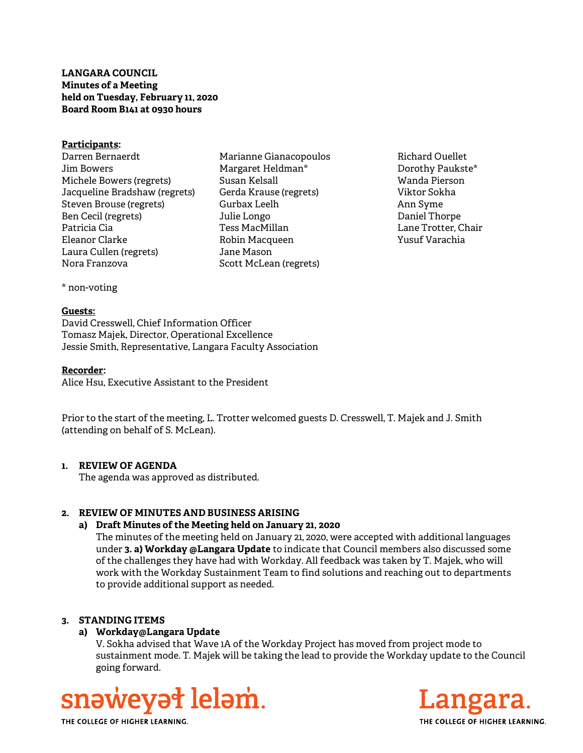# LANGARA COUNCIL Minutes of a Meeting held on Tuesday, February 11, 2020 Board Room B141 at 0930 hours

#### Participants:

- Darren Bernaerdt Jim Bowers Michele Bowers (regrets) Jacqueline Bradshaw (regrets) Steven Brouse (regrets) Ben Cecil (regrets) Patricia Cia Eleanor Clarke Laura Cullen (regrets) Nora Franzova
- Marianne Gianacopoulos Margaret Heldman\* Susan Kelsall Gerda Krause (regrets) Gurbax Leelh Julie Longo Tess MacMillan Robin Macqueen Jane Mason Scott McLean (regrets)
- Richard Ouellet Dorothy Paukste\* Wanda Pierson Viktor Sokha Ann Syme Daniel Thorpe Lane Trotter, Chair Yusuf Varachia

\* non-voting

#### Guests:

David Cresswell, Chief Information Officer Tomasz Majek, Director, Operational Excellence Jessie Smith, Representative, Langara Faculty Association

#### Recorder:

Alice Hsu, Executive Assistant to the President

Prior to the start of the meeting, L. Trotter welcomed guests D. Cresswell, T. Majek and J. Smith (attending on behalf of S. McLean).

## 1. REVIEW OF AGENDA

The agenda was approved as distributed.

# 2. REVIEW OF MINUTES AND BUSINESS ARISING

#### a) Draft Minutes of the Meeting held on January 21, 2020

The minutes of the meeting held on January 21, 2020, were accepted with additional languages under 3. a) Workday @Langara Update to indicate that Council members also discussed some of the challenges they have had with Workday. All feedback was taken by T. Majek, who will work with the Workday Sustainment Team to find solutions and reaching out to departments to provide additional support as needed.

## 3. STANDING ITEMS

# a) Workday@Langara Update

V. Sokha advised that Wave 1A of the Workday Project has moved from project mode to sustainment mode. T. Majek will be taking the lead to provide the Workday update to the Council going forward.





THE COLLEGE OF HIGHER LEARNING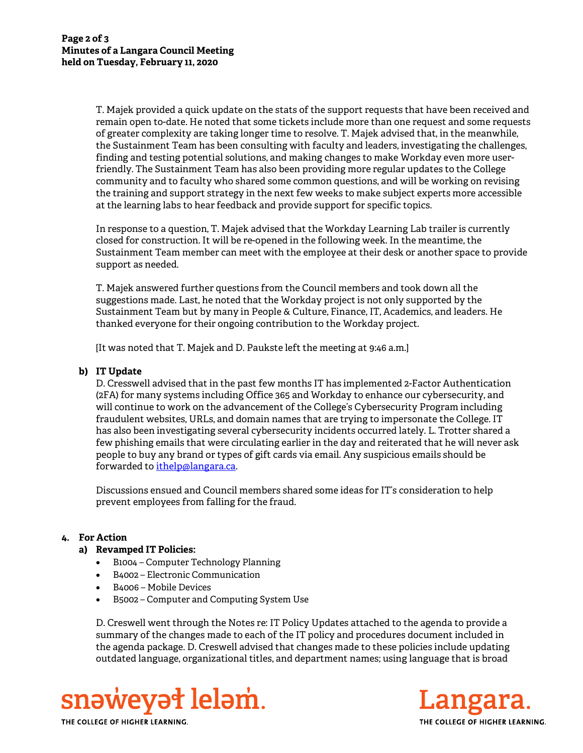T. Majek provided a quick update on the stats of the support requests that have been received and remain open to-date. He noted that some tickets include more than one request and some requests of greater complexity are taking longer time to resolve. T. Majek advised that, in the meanwhile, the Sustainment Team has been consulting with faculty and leaders, investigating the challenges, finding and testing potential solutions, and making changes to make Workday even more userfriendly. The Sustainment Team has also been providing more regular updates to the College community and to faculty who shared some common questions, and will be working on revising the training and support strategy in the next few weeks to make subject experts more accessible at the learning labs to hear feedback and provide support for specific topics.

In response to a question, T. Majek advised that the Workday Learning Lab trailer is currently closed for construction. It will be re-opened in the following week. In the meantime, the Sustainment Team member can meet with the employee at their desk or another space to provide support as needed.

T. Majek answered further questions from the Council members and took down all the suggestions made. Last, he noted that the Workday project is not only supported by the Sustainment Team but by many in People & Culture, Finance, IT, Academics, and leaders. He thanked everyone for their ongoing contribution to the Workday project.

[It was noted that T. Majek and D. Paukste left the meeting at 9:46 a.m.]

## b) IT Update

D. Cresswell advised that in the past few months IT has implemented 2-Factor Authentication (2FA) for many systems including Office 365 and Workday to enhance our cybersecurity, and will continue to work on the advancement of the College's Cybersecurity Program including fraudulent websites, URLs, and domain names that are trying to impersonate the College. IT has also been investigating several cybersecurity incidents occurred lately. L. Trotter shared a few phishing emails that were circulating earlier in the day and reiterated that he will never ask people to buy any brand or types of gift cards via email. Any suspicious emails should be forwarded to *ithelp*@langara.ca.

Discussions ensued and Council members shared some ideas for IT's consideration to help prevent employees from falling for the fraud.

## 4. For Action

## a) Revamped IT Policies:

- B1004 Computer Technology Planning
- B4002 Electronic Communication
- B4006 Mobile Devices
- B5002 Computer and Computing System Use

D. Creswell went through the Notes re: IT Policy Updates attached to the agenda to provide a summary of the changes made to each of the IT policy and procedures document included in the agenda package. D. Creswell advised that changes made to these policies include updating outdated language, organizational titles, and department names; using language that is broad